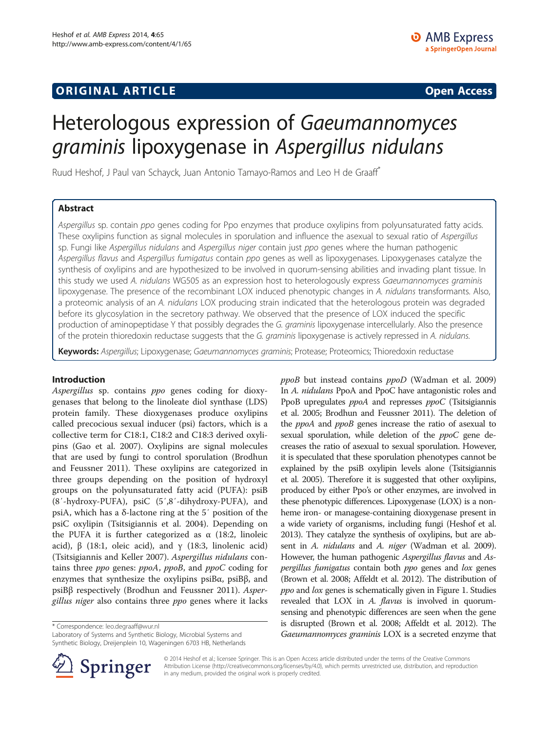## **ORIGINAL ARTICLE CONSERVANCE IN A LOCAL CONSERVANCE IN A LOCAL CONSERVANCE IN A LOCAL CONSERVANCE IN A LOCAL CONSERVANCE IN A LOCAL CONSERVANCE IN A LOCAL CONSERVANCE IN A LOCAL CONSERVANCE IN A LOCAL CONSERVANCE IN A L**

# Heterologous expression of Gaeumannomyces graminis lipoxygenase in Aspergillus nidulans

Ruud Heshof, J Paul van Schayck, Juan Antonio Tamayo-Ramos and Leo H de Graaff\*

## Abstract

Aspergillus sp. contain ppo genes coding for Ppo enzymes that produce oxylipins from polyunsaturated fatty acids. These oxylipins function as signal molecules in sporulation and influence the asexual to sexual ratio of Aspergillus sp. Fungi like Aspergillus nidulans and Aspergillus niger contain just ppo genes where the human pathogenic Aspergillus flavus and Aspergillus fumigatus contain ppo genes as well as lipoxygenases. Lipoxygenases catalyze the synthesis of oxylipins and are hypothesized to be involved in quorum-sensing abilities and invading plant tissue. In this study we used A. nidulans WG505 as an expression host to heterologously express Gaeumannomyces graminis lipoxygenase. The presence of the recombinant LOX induced phenotypic changes in A. nidulans transformants. Also, a proteomic analysis of an A. nidulans LOX producing strain indicated that the heterologous protein was degraded before its glycosylation in the secretory pathway. We observed that the presence of LOX induced the specific production of aminopeptidase Y that possibly degrades the G. graminis lipoxygenase intercellularly. Also the presence of the protein thioredoxin reductase suggests that the G. graminis lipoxygenase is actively repressed in A. nidulans.

Keywords: Aspergillus; Lipoxygenase; Gaeumannomyces graminis; Protease; Proteomics; Thioredoxin reductase

## Introduction

Aspergillus sp. contains ppo genes coding for dioxygenases that belong to the linoleate diol synthase (LDS) protein family. These dioxygenases produce oxylipins called precocious sexual inducer (psi) factors, which is a collective term for C18:1, C18:2 and C18:3 derived oxylipins (Gao et al. [2007\)](#page-5-0). Oxylipins are signal molecules that are used by fungi to control sporulation (Brodhun and Feussner [2011\)](#page-5-0). These oxylipins are categorized in three groups depending on the position of hydroxyl groups on the polyunsaturated fatty acid (PUFA): psiB (8′-hydroxy-PUFA), psiC (5′,8′-dihydroxy-PUFA), and psiA, which has a δ-lactone ring at the 5′ position of the psiC oxylipin (Tsitsigiannis et al. [2004\)](#page-5-0). Depending on the PUFA it is further categorized as  $α$  (18:2, linoleic acid),  $\beta$  (18:1, oleic acid), and γ (18:3, linolenic acid) (Tsitsigiannis and Keller [2007](#page-5-0)). Aspergillus nidulans contains three ppo genes: ppoA, ppoB, and ppoC coding for enzymes that synthesize the oxylipins psiBα, psiBβ, and psiBβ respectively (Brodhun and Feussner [2011](#page-5-0)). Aspergillus niger also contains three ppo genes where it lacks

\* Correspondence: [leo.degraaff@wur.nl](mailto:leo.degraaff@wur.nl)

Laboratory of Systems and Synthetic Biology, Microbial Systems and Synthetic Biology, Dreijenplein 10, Wageningen 6703 HB, Netherlands





© 2014 Heshof et al.; licensee Springer. This is an Open Access article distributed under the terms of the Creative Commons Attribution License [\(http://creativecommons.org/licenses/by/4.0\)](http://creativecommons.org/licenses/by/4.0), which permits unrestricted use, distribution, and reproduction in any medium, provided the original work is properly credited.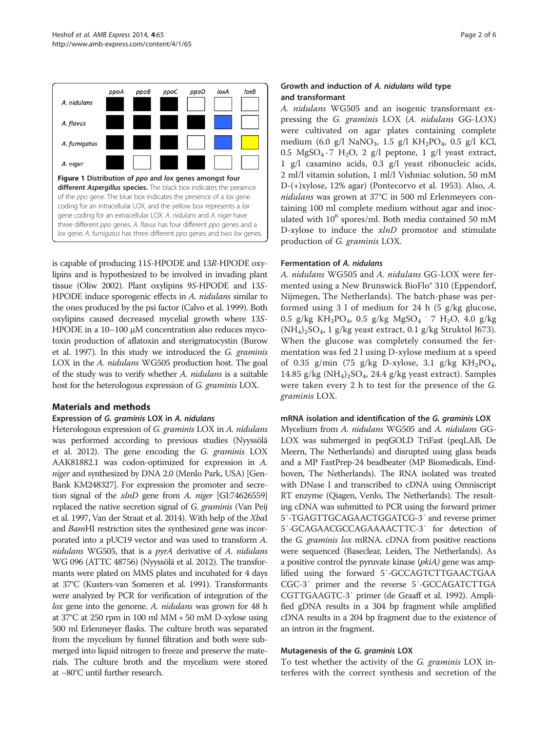<span id="page-1-0"></span>

is capable of producing 11S-HPODE and 13R-HPODE oxylipins and is hypothesized to be involved in invading plant tissue (Oliw [2002](#page-5-0)). Plant oxylipins 9S-HPODE and 13S-HPODE induce sporogenic effects in A. *nidulans* similar to the ones produced by the psi factor (Calvo et al. [1999](#page-5-0)). Both oxylipins caused decreased mycelial growth where 13S-HPODE in a 10–100 μM concentration also reduces mycotoxin production of aflatoxin and sterigmatocystin (Burow et al. [1997\)](#page-5-0). In this study we introduced the G. graminis LOX in the A. nidulans WG505 production host. The goal of the study was to verify whether A. nidulans is a suitable host for the heterologous expression of G. graminis LOX.

#### Materials and methods

#### Expression of G. graminis LOX in A. nidulans

Heterologous expression of G. graminis LOX in A. nidulans was performed according to previous studies (Nyyssölä et al. [2012\)](#page-5-0). The gene encoding the G. graminis LOX AAK81882.1 was codon-optimized for expression in A. niger and synthesized by DNA 2.0 (Menlo Park, USA) [Gen-Bank KM248327]. For expression the promoter and secretion signal of the xlnD gene from A. niger [GI:74626559] replaced the native secretion signal of G. graminis (Van Peij et al. [1997,](#page-5-0) Van der Straat et al. [2014](#page-5-0)). With help of the XbaI and BamHI restriction sites the synthesized gene was incorporated into a pUC19 vector and was used to transform A. nidulans WG505, that is a *pyrA* derivative of A. nidulans WG 096 (ATTC 48756) (Nyyssölä et al. [2012](#page-5-0)). The transformants were plated on MMS plates and incubated for 4 days at 37°C (Kusters-van Someren et al. [1991](#page-5-0)). Transformants were analyzed by PCR for verification of integration of the lox gene into the genome. A. *nidulans* was grown for 48 h at 37°C at 250 rpm in 100 ml MM + 50 mM D-xylose using 500 ml Erlenmeyer flasks. The culture broth was separated from the mycelium by funnel filtration and both were submerged into liquid nitrogen to freeze and preserve the materials. The culture broth and the mycelium were stored at −80°C until further research.

#### Growth and induction of A. nidulans wild type and transformant

A. nidulans WG505 and an isogenic transformant expressing the G. graminis LOX (A. nidulans GG-LOX) were cultivated on agar plates containing complete medium (6.0 g/l NaNO<sub>3</sub>, 1.5 g/l KH<sub>2</sub>PO<sub>4</sub>, 0.5 g/l KCl, 0.5  $MgSO_4 \tcdot 7 H_2O$ , 2 g/l peptone, 1 g/l yeast extract, 1 g/l casamino acids, 0.3 g/l yeast ribonucleic acids, 2 ml/l vitamin solution, 1 ml/l Vishniac solution, 50 mM D-(+)xylose, 12% agar) (Pontecorvo et al. [1953](#page-5-0)). Also, A. nidulans was grown at 37°C in 500 ml Erlenmeyers containing 100 ml complete medium without agar and inoculated with  $10^6$  spores/ml. Both media contained 50 mM D-xylose to induce the  $xlnD$  promotor and stimulate production of G. graminis LOX.

#### Fermentation of A. nidulans

A. nidulans WG505 and A. nidulans GG-LOX were fermented using a New Brunswick BioFlo® 310 (Eppendorf, Nijmegen, The Netherlands). The batch-phase was performed using  $3 \mid \text{of medium}$  for  $24 \mid \text{h}$  (5 g/kg glucose, 0.5 g/kg KH<sub>2</sub>PO<sub>4</sub>, 0.5 g/kg MgSO<sub>4</sub>  $\cdot$  7 H<sub>2</sub>O, 4.0 g/kg  $(NH_4)_2SO_4$ , 1 g/kg yeast extract, 0.1 g/kg Struktol J673). When the glucose was completely consumed the fermentation was fed 2 l using D-xylose medium at a speed of 0.35 g/min (75 g/kg D-xylose, 3.1 g/kg KH<sub>2</sub>PO<sub>4</sub>, 14.85 g/kg  $(NH_4)_2SO_4$ , 24.4 g/kg yeast extract). Samples were taken every 2 h to test for the presence of the G. graminis LOX.

#### mRNA isolation and identification of the G. graminis LOX

Mycelium from A. nidulans WG505 and A. nidulans GG-LOX was submerged in peqGOLD TriFast (peqLAB, De Meern, The Netherlands) and disrupted using glass beads and a MP FastPrep-24 beadbeater (MP Biomedicals, Eindhoven, The Netherlands). The RNA isolated was treated with DNase I and transcribed to cDNA using Omniscript RT enzyme (Qiagen, Venlo, The Netherlands). The resulting cDNA was submitted to PCR using the forward primer 5′-TGAGTTGCAGAACTGGATCG-3′ and reverse primer 5′-GCAGAACGCCAGAAAACTTC-3′ for detection of the G. graminis lox mRNA. cDNA from positive reactions were sequenced (Baseclear, Leiden, The Netherlands). As a positive control the pyruvate kinase (*pkiA*) gene was amplified using the forward 5′-GCCAGTCTTGAACTGAA CGC-3′ primer and the reverse 5′-GCCAGATCTTGA CGTTGAAGTC-3′ primer (de Graaff et al. [1992](#page-5-0)). Amplified gDNA results in a 304 bp fragment while amplified cDNA results in a 204 bp fragment due to the existence of an intron in the fragment.

#### Mutagenesis of the G. graminis LOX

To test whether the activity of the G. graminis LOX interferes with the correct synthesis and secretion of the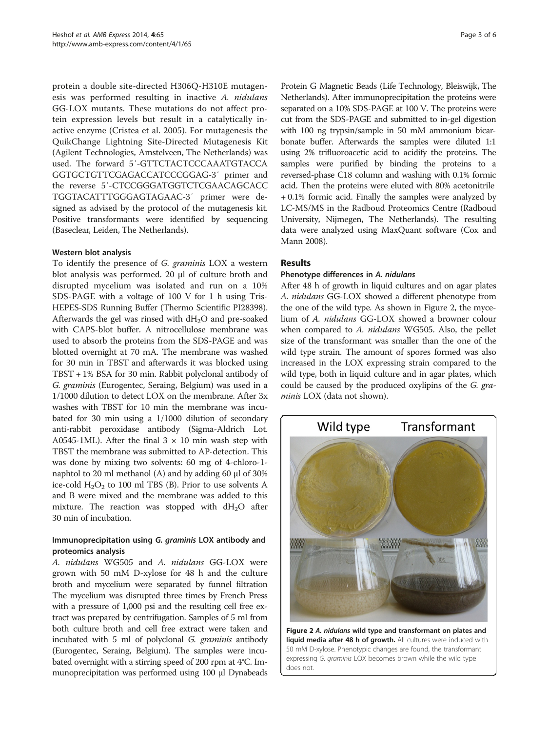protein a double site-directed H306Q-H310E mutagenesis was performed resulting in inactive A. nidulans GG-LOX mutants. These mutations do not affect protein expression levels but result in a catalytically inactive enzyme (Cristea et al. [2005](#page-5-0)). For mutagenesis the QuikChange Lightning Site-Directed Mutagenesis Kit (Agilent Technologies, Amstelveen, The Netherlands) was used. The forward 5′-GTTCTACTCCCAAATGTACCA GGTGCTGTTCGAGACCATCCCGGAG-3′ primer and the reverse 5′-CTCCGGGATGGTCTCGAACAGCACC TGGTACATTTGGGAGTAGAAC-3′ primer were designed as advised by the protocol of the mutagenesis kit. Positive transformants were identified by sequencing (Baseclear, Leiden, The Netherlands).

#### Western blot analysis

To identify the presence of G. graminis LOX a western blot analysis was performed. 20 μl of culture broth and disrupted mycelium was isolated and run on a 10% SDS-PAGE with a voltage of 100 V for 1 h using Tris-HEPES-SDS Running Buffer (Thermo Scientific PI28398). Afterwards the gel was rinsed with  $dH_2O$  and pre-soaked with CAPS-blot buffer. A nitrocellulose membrane was used to absorb the proteins from the SDS-PAGE and was blotted overnight at 70 mA. The membrane was washed for 30 min in TBST and afterwards it was blocked using TBST + 1% BSA for 30 min. Rabbit polyclonal antibody of G. graminis (Eurogentec, Seraing, Belgium) was used in a 1/1000 dilution to detect LOX on the membrane. After 3x washes with TBST for 10 min the membrane was incubated for 30 min using a 1/1000 dilution of secondary anti-rabbit peroxidase antibody (Sigma-Aldrich Lot. A0545-1ML). After the final  $3 \times 10$  min wash step with TBST the membrane was submitted to AP-detection. This was done by mixing two solvents: 60 mg of 4-chloro-1 naphtol to 20 ml methanol (A) and by adding 60 μl of 30% ice-cold  $H_2O_2$  to 100 ml TBS (B). Prior to use solvents A and B were mixed and the membrane was added to this mixture. The reaction was stopped with  $dH_2O$  after 30 min of incubation.

## Immunoprecipitation using G. graminis LOX antibody and proteomics analysis

A. nidulans WG505 and A. nidulans GG-LOX were grown with 50 mM D-xylose for 48 h and the culture broth and mycelium were separated by funnel filtration The mycelium was disrupted three times by French Press with a pressure of 1,000 psi and the resulting cell free extract was prepared by centrifugation. Samples of 5 ml from both culture broth and cell free extract were taken and incubated with 5 ml of polyclonal G. graminis antibody (Eurogentec, Seraing, Belgium). The samples were incubated overnight with a stirring speed of 200 rpm at 4°C. Immunoprecipitation was performed using 100 μl Dynabeads

Protein G Magnetic Beads (Life Technology, Bleiswijk, The Netherlands). After immunoprecipitation the proteins were separated on a 10% SDS-PAGE at 100 V. The proteins were cut from the SDS-PAGE and submitted to in-gel digestion with 100 ng trypsin/sample in 50 mM ammonium bicarbonate buffer. Afterwards the samples were diluted 1:1 using 2% trifluoroacetic acid to acidify the proteins. The samples were purified by binding the proteins to a reversed-phase C18 column and washing with 0.1% formic acid. Then the proteins were eluted with 80% acetonitrile + 0.1% formic acid. Finally the samples were analyzed by LC-MS/MS in the Radboud Proteomics Centre (Radboud University, Nijmegen, The Netherlands). The resulting data were analyzed using MaxQuant software (Cox and Mann [2008\)](#page-5-0).

## Results

#### Phenotype differences in A. nidulans

After 48 h of growth in liquid cultures and on agar plates A. nidulans GG-LOX showed a different phenotype from the one of the wild type. As shown in Figure 2, the mycelium of A. nidulans GG-LOX showed a browner colour when compared to A. nidulans WG505. Also, the pellet size of the transformant was smaller than the one of the wild type strain. The amount of spores formed was also increased in the LOX expressing strain compared to the wild type, both in liquid culture and in agar plates, which could be caused by the produced oxylipins of the G. graminis LOX (data not shown).



Figure 2 A. nidulans wild type and transformant on plates and liquid media after 48 h of growth. All cultures were induced with 50 mM D-xylose. Phenotypic changes are found, the transformant expressing G. graminis LOX becomes brown while the wild type does not.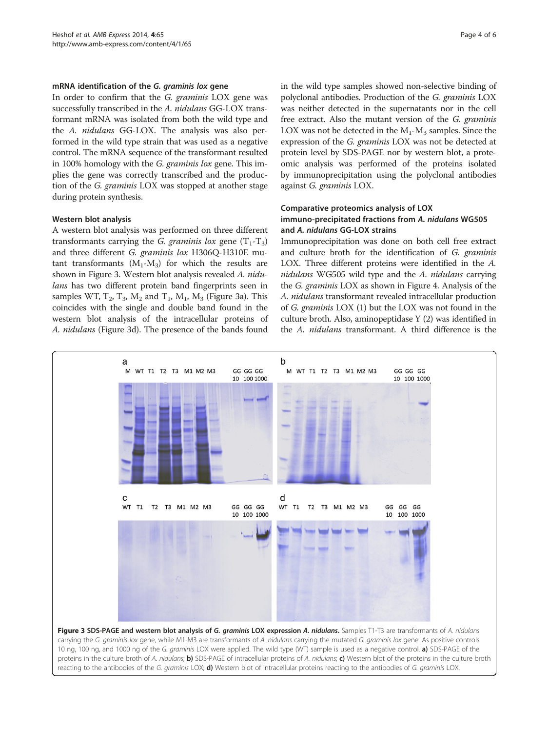#### mRNA identification of the G. graminis lox gene

In order to confirm that the G. graminis LOX gene was successfully transcribed in the A. nidulans GG-LOX transformant mRNA was isolated from both the wild type and the A. nidulans GG-LOX. The analysis was also performed in the wild type strain that was used as a negative control. The mRNA sequence of the transformant resulted in 100% homology with the *G. graminis lox* gene. This implies the gene was correctly transcribed and the production of the G. graminis LOX was stopped at another stage during protein synthesis.

## Western blot analysis

A western blot analysis was performed on three different transformants carrying the *G. graminis lox* gene  $(T_1 - T_3)$ and three different G. graminis lox H306Q-H310E mutant transformants  $(M_1-M_3)$  for which the results are shown in Figure 3. Western blot analysis revealed A. nidulans has two different protein band fingerprints seen in samples WT,  $T_2$ ,  $T_3$ ,  $M_2$  and  $T_1$ ,  $M_1$ ,  $M_3$  (Figure 3a). This coincides with the single and double band found in the western blot analysis of the intracellular proteins of A. nidulans (Figure 3d). The presence of the bands found

in the wild type samples showed non-selective binding of polyclonal antibodies. Production of the G. graminis LOX was neither detected in the supernatants nor in the cell free extract. Also the mutant version of the G. graminis LOX was not be detected in the  $M_1-M_3$  samples. Since the expression of the G. graminis LOX was not be detected at protein level by SDS-PAGE nor by western blot, a proteomic analysis was performed of the proteins isolated by immunoprecipitation using the polyclonal antibodies against G. graminis LOX.

## Comparative proteomics analysis of LOX immuno-precipitated fractions from A. nidulans WG505 and A. nidulans GG-LOX strains

Immunoprecipitation was done on both cell free extract and culture broth for the identification of G. graminis LOX. Three different proteins were identified in the A. nidulans WG505 wild type and the A. nidulans carrying the G. graminis LOX as shown in Figure [4.](#page-4-0) Analysis of the A. nidulans transformant revealed intracellular production of G. graminis LOX (1) but the LOX was not found in the culture broth. Also, aminopeptidase Y (2) was identified in the A. nidulans transformant. A third difference is the

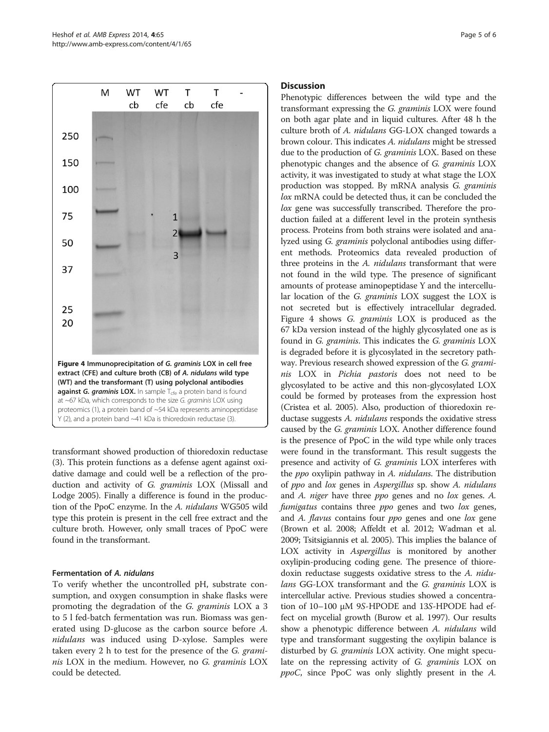<span id="page-4-0"></span>

transformant showed production of thioredoxin reductase (3). This protein functions as a defense agent against oxidative damage and could well be a reflection of the production and activity of G. graminis LOX (Missall and Lodge [2005](#page-5-0)). Finally a difference is found in the production of the PpoC enzyme. In the A. nidulans WG505 wild type this protein is present in the cell free extract and the culture broth. However, only small traces of PpoC were found in the transformant.

## Fermentation of A. nidulans

To verify whether the uncontrolled pH, substrate consumption, and oxygen consumption in shake flasks were promoting the degradation of the G. graminis LOX a 3 to 5 l fed-batch fermentation was run. Biomass was generated using D-glucose as the carbon source before A. nidulans was induced using D-xylose. Samples were taken every 2 h to test for the presence of the G. graminis LOX in the medium. However, no G. graminis LOX could be detected.

#### **Discussion**

Phenotypic differences between the wild type and the transformant expressing the G. graminis LOX were found on both agar plate and in liquid cultures. After 48 h the culture broth of A. nidulans GG-LOX changed towards a brown colour. This indicates A. nidulans might be stressed due to the production of G. graminis LOX. Based on these phenotypic changes and the absence of G. graminis LOX activity, it was investigated to study at what stage the LOX production was stopped. By mRNA analysis G. graminis lox mRNA could be detected thus, it can be concluded the lox gene was successfully transcribed. Therefore the production failed at a different level in the protein synthesis process. Proteins from both strains were isolated and analyzed using G. graminis polyclonal antibodies using different methods. Proteomics data revealed production of three proteins in the A. nidulans transformant that were not found in the wild type. The presence of significant amounts of protease aminopeptidase Y and the intercellular location of the G. graminis LOX suggest the LOX is not secreted but is effectively intracellular degraded. Figure 4 shows G. graminis LOX is produced as the 67 kDa version instead of the highly glycosylated one as is found in G. graminis. This indicates the G. graminis LOX is degraded before it is glycosylated in the secretory pathway. Previous research showed expression of the G. graminis LOX in Pichia pastoris does not need to be glycosylated to be active and this non-glycosylated LOX could be formed by proteases from the expression host (Cristea et al. [2005](#page-5-0)). Also, production of thioredoxin reductase suggests A. nidulans responds the oxidative stress caused by the G. graminis LOX. Another difference found is the presence of PpoC in the wild type while only traces were found in the transformant. This result suggests the presence and activity of G. graminis LOX interferes with the *ppo* oxylipin pathway in A. *nidulans*. The distribution of ppo and lox genes in Aspergillus sp. show A. nidulans and A. niger have three ppo genes and no lox genes. A. fumigatus contains three ppo genes and two lox genes, and A. flavus contains four ppo genes and one lox gene (Brown et al. [2008](#page-5-0); Affeldt et al. [2012;](#page-5-0) Wadman et al. [2009](#page-5-0); Tsitsigiannis et al. [2005](#page-5-0)). This implies the balance of LOX activity in *Aspergillus* is monitored by another oxylipin-producing coding gene. The presence of thioredoxin reductase suggests oxidative stress to the A. nidulans GG-LOX transformant and the G. graminis LOX is intercellular active. Previous studies showed a concentration of 10–100 μM 9S-HPODE and 13S-HPODE had effect on mycelial growth (Burow et al. [1997\)](#page-5-0). Our results show a phenotypic difference between A. nidulans wild type and transformant suggesting the oxylipin balance is disturbed by *G. graminis* LOX activity. One might speculate on the repressing activity of G. graminis LOX on ppoC, since PpoC was only slightly present in the A.